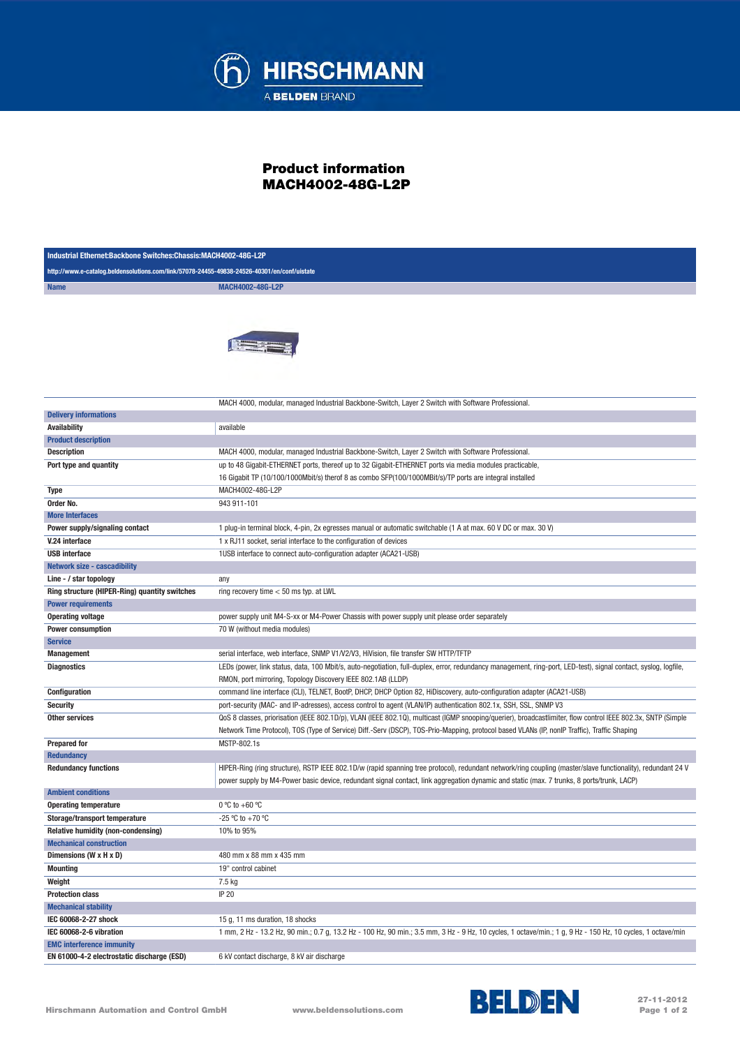

## Product information MACH4002-48G-L2P

| Industrial Ethernet:Backbone Switches:Chassis:MACH4002-48G-L2P                              |                                                                                                                                                                                                                                                                                                              |  |
|---------------------------------------------------------------------------------------------|--------------------------------------------------------------------------------------------------------------------------------------------------------------------------------------------------------------------------------------------------------------------------------------------------------------|--|
| http://www.e-catalog.beldensolutions.com/link/57078-24455-49838-24526-40301/en/conf/uistate |                                                                                                                                                                                                                                                                                                              |  |
| <b>Name</b>                                                                                 | MACH4002-48G-L2P                                                                                                                                                                                                                                                                                             |  |
|                                                                                             |                                                                                                                                                                                                                                                                                                              |  |
| <b>Delivery informations</b>                                                                | MACH 4000, modular, managed Industrial Backbone-Switch, Layer 2 Switch with Software Professional.                                                                                                                                                                                                           |  |
| <b>Availability</b>                                                                         | available                                                                                                                                                                                                                                                                                                    |  |
| <b>Product description</b>                                                                  |                                                                                                                                                                                                                                                                                                              |  |
| <b>Description</b>                                                                          | MACH 4000, modular, managed Industrial Backbone-Switch, Layer 2 Switch with Software Professional.                                                                                                                                                                                                           |  |
| Port type and quantity                                                                      | up to 48 Gigabit-ETHERNET ports, thereof up to 32 Gigabit-ETHERNET ports via media modules practicable,                                                                                                                                                                                                      |  |
|                                                                                             | 16 Gigabit TP (10/100/1000Mbit/s) therof 8 as combo SFP(100/1000MBit/s)/TP ports are integral installed                                                                                                                                                                                                      |  |
| Type                                                                                        | MACH4002-48G-L2P                                                                                                                                                                                                                                                                                             |  |
| Order No.                                                                                   | 943 911-101                                                                                                                                                                                                                                                                                                  |  |
| <b>More Interfaces</b>                                                                      |                                                                                                                                                                                                                                                                                                              |  |
| Power supply/signaling contact                                                              | 1 plug-in terminal block, 4-pin, 2x egresses manual or automatic switchable (1 A at max. 60 V DC or max. 30 V)                                                                                                                                                                                               |  |
| V.24 interface                                                                              | 1 x RJ11 socket, serial interface to the configuration of devices                                                                                                                                                                                                                                            |  |
| <b>USB</b> interface                                                                        | 1USB interface to connect auto-configuration adapter (ACA21-USB)                                                                                                                                                                                                                                             |  |
| <b>Network size - cascadibility</b>                                                         |                                                                                                                                                                                                                                                                                                              |  |
| Line - / star topology                                                                      | any                                                                                                                                                                                                                                                                                                          |  |
| Ring structure (HIPER-Ring) quantity switches                                               | ring recovery time $< 50$ ms typ. at LWL                                                                                                                                                                                                                                                                     |  |
| <b>Power requirements</b>                                                                   |                                                                                                                                                                                                                                                                                                              |  |
| <b>Operating voltage</b>                                                                    | power supply unit M4-S-xx or M4-Power Chassis with power supply unit please order separately                                                                                                                                                                                                                 |  |
| <b>Power consumption</b>                                                                    | 70 W (without media modules)                                                                                                                                                                                                                                                                                 |  |
| <b>Service</b>                                                                              |                                                                                                                                                                                                                                                                                                              |  |
| <b>Management</b>                                                                           | serial interface, web interface, SNMP V1/V2/V3, HiVision, file transfer SW HTTP/TFTP                                                                                                                                                                                                                         |  |
| <b>Diagnostics</b>                                                                          | LEDs (power, link status, data, 100 Mbit/s, auto-negotiation, full-duplex, error, redundancy management, ring-port, LED-test), signal contact, syslog, logfile,<br>RMON, port mirroring, Topology Discovery IEEE 802.1AB (LLDP)                                                                              |  |
| Configuration                                                                               | command line interface (CLI), TELNET, BootP, DHCP, DHCP Option 82, HiDiscovery, auto-configuration adapter (ACA21-USB)                                                                                                                                                                                       |  |
| <b>Security</b>                                                                             | port-security (MAC- and IP-adresses), access control to agent (VLAN/IP) authentication 802.1x, SSH, SSL, SNMP V3                                                                                                                                                                                             |  |
| <b>Other services</b>                                                                       | QoS 8 classes, priorisation (IEEE 802.1D/p), VLAN (IEEE 802.1Q), multicast (IGMP snooping/querier), broadcastlimiter, flow control IEEE 802.3x, SNTP (Simple<br>Network Time Protocol), TOS (Type of Service) Diff.-Serv (DSCP), TOS-Prio-Mapping, protocol based VLANs (IP, nonIP Traffic), Traffic Shaping |  |
| <b>Prepared for</b>                                                                         | MSTP-802.1s                                                                                                                                                                                                                                                                                                  |  |
| <b>Redundancy</b>                                                                           |                                                                                                                                                                                                                                                                                                              |  |
| <b>Redundancy functions</b>                                                                 | HIPER-Ring (ring structure), RSTP IEEE 802.1D/w (rapid spanning tree protocol), redundant network/ring coupling (master/slave functionality), redundant 24 V<br>power supply by M4-Power basic device, redundant signal contact, link aggregation dynamic and static (max. 7 trunks, 8 ports/trunk, LACP)    |  |
| <b>Ambient conditions</b>                                                                   |                                                                                                                                                                                                                                                                                                              |  |
| <b>Operating temperature</b>                                                                | $0 °C$ to +60 $°C$                                                                                                                                                                                                                                                                                           |  |
| Storage/transport temperature                                                               | $-25 °C$ to $+70 °C$                                                                                                                                                                                                                                                                                         |  |
| Relative humidity (non-condensing)                                                          | 10% to 95%                                                                                                                                                                                                                                                                                                   |  |
| <b>Mechanical construction</b>                                                              |                                                                                                                                                                                                                                                                                                              |  |
| Dimensions (W x H x D)                                                                      | 480 mm x 88 mm x 435 mm                                                                                                                                                                                                                                                                                      |  |
| <b>Mounting</b>                                                                             | 19" control cabinet                                                                                                                                                                                                                                                                                          |  |
| Weight                                                                                      | 7.5 kg                                                                                                                                                                                                                                                                                                       |  |
| <b>Protection class</b>                                                                     | IP 20                                                                                                                                                                                                                                                                                                        |  |
| <b>Mechanical stability</b>                                                                 |                                                                                                                                                                                                                                                                                                              |  |
| IEC 60068-2-27 shock                                                                        | 15 g, 11 ms duration, 18 shocks                                                                                                                                                                                                                                                                              |  |
| IEC 60068-2-6 vibration                                                                     | 1 mm, 2 Hz - 13.2 Hz, 90 min.; 0.7 g, 13.2 Hz - 100 Hz, 90 min.; 3.5 mm, 3 Hz - 9 Hz, 10 cycles, 1 octave/min.; 1 g, 9 Hz - 150 Hz, 10 cycles, 1 octave/min                                                                                                                                                  |  |
| <b>EMC interference immunity</b><br>EN 61000-4-2 electrostatic discharge (ESD)              | 6 kV contact discharge, 8 kV air discharge                                                                                                                                                                                                                                                                   |  |
|                                                                                             |                                                                                                                                                                                                                                                                                                              |  |